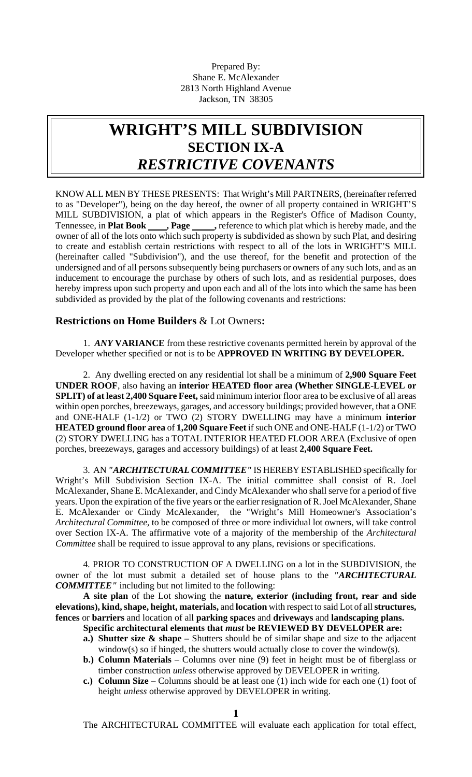Prepared By: Shane E. McAlexander 2813 North Highland Avenue Jackson, TN 38305

# **WRIGHT'S MILL SUBDIVISION SECTION IX-A**  *RESTRICTIVE COVENANTS*

KNOW ALL MEN BY THESE PRESENTS: That Wright's Mill PARTNERS, (hereinafter referred to as "Developer"), being on the day hereof, the owner of all property contained in WRIGHT'S MILL SUBDIVISION, a plat of which appears in the Register's Office of Madison County, Tennessee, in **Plat Book \_\_\_\_\_, Page \_\_\_\_\_\_,** reference to which plat which is hereby made, and the owner of all of the lots onto which such property is subdivided as shown by such Plat, and desiring to create and establish certain restrictions with respect to all of the lots in WRIGHT'S MILL (hereinafter called "Subdivision"), and the use thereof, for the benefit and protection of the undersigned and of all persons subsequently being purchasers or owners of any such lots, and as an inducement to encourage the purchase by others of such lots, and as residential purposes, does hereby impress upon such property and upon each and all of the lots into which the same has been subdivided as provided by the plat of the following covenants and restrictions:

# **Restrictions on Home Builders** & Lot Owners**:**

1. *ANY* **VARIANCE** from these restrictive covenants permitted herein by approval of the Developer whether specified or not is to be **APPROVED IN WRITING BY DEVELOPER.**

2. Any dwelling erected on any residential lot shall be a minimum of **2,900 Square Feet UNDER ROOF**, also having an **interior HEATED floor area (Whether SINGLE-LEVEL or SPLIT) of at least 2,400 Square Feet,** said minimum interior floor area to be exclusive of all areas within open porches, breezeways, garages, and accessory buildings; provided however, that a ONE and ONE-HALF (1-1/2) or TWO (2) STORY DWELLING may have a minimum **interior HEATED ground floor area** of **1,200 Square Feet** if such ONE and ONE-HALF (1-1/2) or TWO (2) STORY DWELLING has a TOTAL INTERIOR HEATED FLOOR AREA (Exclusive of open porches, breezeways, garages and accessory buildings) of at least **2,400 Square Feet.**

3. AN *"ARCHITECTURAL COMMITTEE"* IS HEREBY ESTABLISHED specifically for Wright's Mill Subdivision Section IX-A. The initial committee shall consist of R. Joel McAlexander, Shane E. McAlexander, and Cindy McAlexander who shall serve for a period of five years. Upon the expiration of the five years or the earlier resignation of R. Joel McAlexander, Shane E. McAlexander or Cindy McAlexander, the "Wright's Mill Homeowner's Association's *Architectural Committee,* to be composed of three or more individual lot owners, will take control over Section IX-A. The affirmative vote of a majority of the membership of the *Architectural Committee* shall be required to issue approval to any plans, revisions or specifications.

4*.* PRIOR TO CONSTRUCTION OF A DWELLING on a lot in the SUBDIVISION, the owner of the lot must submit a detailed set of house plans to the *"ARCHITECTURAL COMMITTEE"* including but not limited to the following:

**A site plan** of the Lot showing the **nature, exterior (including front, rear and side elevations), kind, shape, height, materials,** and **location** with respect to said Lot of all **structures, fences** or **barriers** and location of all **parking spaces** and **driveways** and **landscaping plans.** 

- **Specific architectural elements that** *must* **be REVIEWED BY DEVELOPER are:**
- **a.) Shutter size & shape** Shutters should be of similar shape and size to the adjacent window(s) so if hinged, the shutters would actually close to cover the window(s).
- **b.) Column Materials** Columns over nine (9) feet in height must be of fiberglass or timber construction *unless* otherwise approved by DEVELOPER in writing.
- **c.) Column Size**  Columns should be at least one (1) inch wide for each one (1) foot of height *unless* otherwise approved by DEVELOPER in writing.

The ARCHITECTURAL COMMITTEE will evaluate each application for total effect,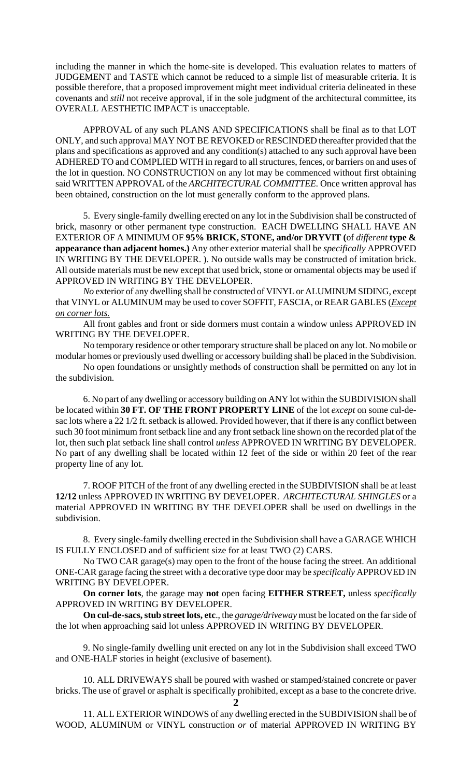including the manner in which the home-site is developed. This evaluation relates to matters of JUDGEMENT and TASTE which cannot be reduced to a simple list of measurable criteria. It is possible therefore, that a proposed improvement might meet individual criteria delineated in these covenants and *still* not receive approval, if in the sole judgment of the architectural committee, its OVERALL AESTHETIC IMPACT is unacceptable.

APPROVAL of any such PLANS AND SPECIFICATIONS shall be final as to that LOT ONLY, and such approval MAY NOT BE REVOKED or RESCINDED thereafter provided that the plans and specifications as approved and any condition(s) attached to any such approval have been ADHERED TO and COMPLIED WITH in regard to all structures, fences, or barriers on and uses of the lot in question. NO CONSTRUCTION on any lot may be commenced without first obtaining said WRITTEN APPROVAL of the *ARCHITECTURAL COMMITTEE.* Once written approval has been obtained, construction on the lot must generally conform to the approved plans.

5. Every single-family dwelling erected on any lot in the Subdivision shall be constructed of brick, masonry or other permanent type construction. EACH DWELLING SHALL HAVE AN EXTERIOR OF A MINIMUM OF **95% BRICK, STONE, and/or DRYVIT (**of *different* **type & appearance than adjacent homes.)** Any other exterior material shall be *specifically* APPROVED IN WRITING BY THE DEVELOPER. ). No outside walls may be constructed of imitation brick. All outside materials must be new except that used brick, stone or ornamental objects may be used if APPROVED IN WRITING BY THE DEVELOPER.

*No* exterior of any dwelling shall be constructed of VINYL or ALUMINUM SIDING, except that VINYL or ALUMINUM may be used to cover SOFFIT, FASCIA, or REAR GABLES (*Except on corner lots.*

All front gables and front or side dormers must contain a window unless APPROVED IN WRITING BY THE DEVELOPER.

No temporary residence or other temporary structure shall be placed on any lot. No mobile or modular homes or previously used dwelling or accessory building shall be placed in the Subdivision.

No open foundations or unsightly methods of construction shall be permitted on any lot in the subdivision.

6. No part of any dwelling or accessory building on ANY lot within the SUBDIVISION shall be located within **30 FT. OF THE FRONT PROPERTY LINE** of the lot *except* on some cul-desac lots where a 22 1/2 ft. setback is allowed. Provided however, that if there is any conflict between such 30 foot minimum front setback line and any front setback line shown on the recorded plat of the lot, then such plat setback line shall control *unless* APPROVED IN WRITING BY DEVELOPER. No part of any dwelling shall be located within 12 feet of the side or within 20 feet of the rear property line of any lot.

7. ROOF PITCH of the front of any dwelling erected in the SUBDIVISION shall be at least **12/12** unless APPROVED IN WRITING BY DEVELOPER. *ARCHITECTURAL SHINGLES* or a material APPROVED IN WRITING BY THE DEVELOPER shall be used on dwellings in the subdivision.

8. Every single-family dwelling erected in the Subdivision shall have a GARAGE WHICH IS FULLY ENCLOSED and of sufficient size for at least TWO (2) CARS.

No TWO CAR garage(s) may open to the front of the house facing the street. An additional ONE-CAR garage facing the street with a decorative type door may be *specifically* APPROVED IN WRITING BY DEVELOPER.

**On corner lots**, the garage may **not** open facing **EITHER STREET,** unless *specifically* APPROVED IN WRITING BY DEVELOPER.

**On cul-de-sacs, stub street lots, etc**., the *garage/driveway* must be located on the far side of the lot when approaching said lot unless APPROVED IN WRITING BY DEVELOPER.

9. No single-family dwelling unit erected on any lot in the Subdivision shall exceed TWO and ONE-HALF stories in height (exclusive of basement).

10. ALL DRIVEWAYS shall be poured with washed or stamped/stained concrete or paver bricks. The use of gravel or asphalt is specifically prohibited, except as a base to the concrete drive.

**2**

11. ALL EXTERIOR WINDOWS of any dwelling erected in the SUBDIVISION shall be of WOOD, ALUMINUM or VINYL construction *or* of material APPROVED IN WRITING BY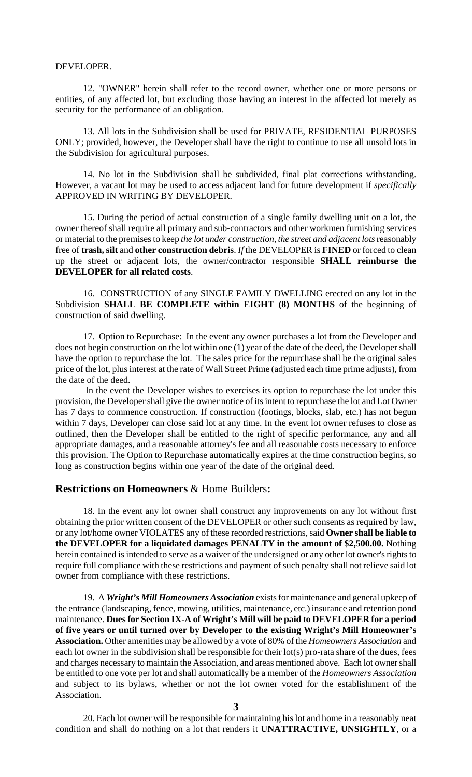#### DEVELOPER.

12. "OWNER" herein shall refer to the record owner, whether one or more persons or entities, of any affected lot, but excluding those having an interest in the affected lot merely as security for the performance of an obligation.

13. All lots in the Subdivision shall be used for PRIVATE, RESIDENTIAL PURPOSES ONLY; provided, however, the Developer shall have the right to continue to use all unsold lots in the Subdivision for agricultural purposes.

14. No lot in the Subdivision shall be subdivided, final plat corrections withstanding. However, a vacant lot may be used to access adjacent land for future development if *specifically* APPROVED IN WRITING BY DEVELOPER.

15. During the period of actual construction of a single family dwelling unit on a lot, the owner thereof shall require all primary and sub-contractors and other workmen furnishing services or material to the premises to keep *the lot under construction, the street and adjacent lots* reasonably free of **trash, silt** and **other construction debris**. *If* the DEVELOPER is **FINED** or forced to clean up the street or adjacent lots, the owner/contractor responsible **SHALL reimburse the DEVELOPER for all related costs**.

16. CONSTRUCTION of any SINGLE FAMILY DWELLING erected on any lot in the Subdivision **SHALL BE COMPLETE within EIGHT (8) MONTHS** of the beginning of construction of said dwelling.

17. Option to Repurchase: In the event any owner purchases a lot from the Developer and does not begin construction on the lot within one (1) year of the date of the deed, the Developer shall have the option to repurchase the lot. The sales price for the repurchase shall be the original sales price of the lot, plus interest at the rate of Wall Street Prime (adjusted each time prime adjusts), from the date of the deed.

 In the event the Developer wishes to exercises its option to repurchase the lot under this provision, the Developer shall give the owner notice of its intent to repurchase the lot and Lot Owner has 7 days to commence construction. If construction (footings, blocks, slab, etc.) has not begun within 7 days, Developer can close said lot at any time. In the event lot owner refuses to close as outlined, then the Developer shall be entitled to the right of specific performance, any and all appropriate damages, and a reasonable attorney's fee and all reasonable costs necessary to enforce this provision. The Option to Repurchase automatically expires at the time construction begins, so long as construction begins within one year of the date of the original deed.

### **Restrictions on Homeowners** & Home Builders**:**

18. In the event any lot owner shall construct any improvements on any lot without first obtaining the prior written consent of the DEVELOPER or other such consents as required by law, or any lot/home owner VIOLATES any of these recorded restrictions, said **Owner shall be liable to the DEVELOPER for a liquidated damages PENALTY in the amount of \$2,500.00.** Nothing herein contained is intended to serve as a waiver of the undersigned or any other lot owner's rights to require full compliance with these restrictions and payment of such penalty shall not relieve said lot owner from compliance with these restrictions.

19. A *Wright's Mill Homeowners Association* exists for maintenance and general upkeep of the entrance (landscaping, fence, mowing, utilities, maintenance, etc.) insurance and retention pond maintenance. **Dues for Section IX-A of Wright's Mill will be paid to DEVELOPER for a period of five years or until turned over by Developer to the existing Wright's Mill Homeowner's Association.** Other amenities may be allowed by a vote of 80% of the *Homeowners Association* and each lot owner in the subdivision shall be responsible for their lot(s) pro-rata share of the dues, fees and charges necessary to maintain the Association, and areas mentioned above. Each lot owner shall be entitled to one vote per lot and shall automatically be a member of the *Homeowners Association* and subject to its bylaws, whether or not the lot owner voted for the establishment of the Association.

20. Each lot owner will be responsible for maintaining his lot and home in a reasonably neat condition and shall do nothing on a lot that renders it **UNATTRACTIVE, UNSIGHTLY**, or a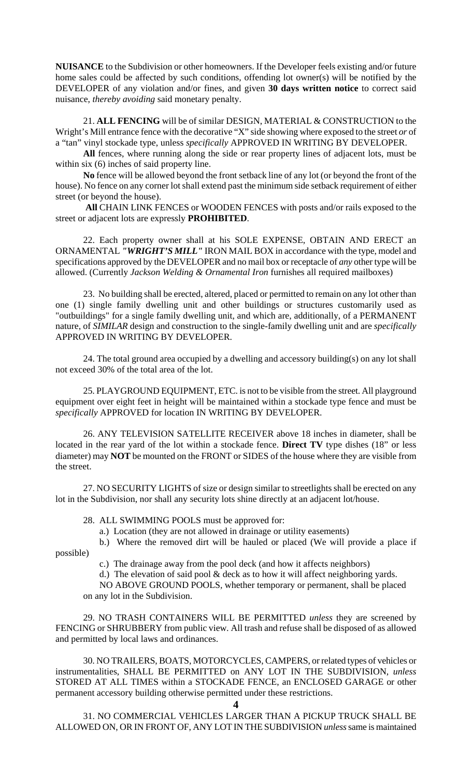**NUISANCE** to the Subdivision or other homeowners. If the Developer feels existing and/or future home sales could be affected by such conditions, offending lot owner(s) will be notified by the DEVELOPER of any violation and/or fines, and given **30 days written notice** to correct said nuisance, *thereby avoiding* said monetary penalty.

21. **ALL FENCING** will be of similar DESIGN, MATERIAL & CONSTRUCTION to the Wright's Mill entrance fence with the decorative "X" side showing where exposed to the street *or* of a "tan" vinyl stockade type, unless *specifically* APPROVED IN WRITING BY DEVELOPER.

**All** fences, where running along the side or rear property lines of adjacent lots, must be within six (6) inches of said property line.

**No** fence will be allowed beyond the front setback line of any lot (or beyond the front of the house). No fence on any corner lot shall extend past the minimum side setback requirement of either street (or beyond the house).

 **All** CHAIN LINK FENCES or WOODEN FENCES with posts and/or rails exposed to the street or adjacent lots are expressly **PROHIBITED**.

22. Each property owner shall at his SOLE EXPENSE, OBTAIN AND ERECT an ORNAMENTAL *"WRIGHT'S MILL"* IRON MAIL BOX in accordance with the type, model and specifications approved by the DEVELOPER and no mail box or receptacle of *any* other type will be allowed. (Currently *Jackson Welding & Ornamental Iron* furnishes all required mailboxes)

23. No building shall be erected, altered, placed or permitted to remain on any lot other than one (1) single family dwelling unit and other buildings or structures customarily used as "outbuildings" for a single family dwelling unit, and which are, additionally, of a PERMANENT nature, of *SIMILAR* design and construction to the single-family dwelling unit and are *specifically* APPROVED IN WRITING BY DEVELOPER.

24. The total ground area occupied by a dwelling and accessory building(s) on any lot shall not exceed 30% of the total area of the lot.

25. PLAYGROUND EQUIPMENT, ETC. is not to be visible from the street. All playground equipment over eight feet in height will be maintained within a stockade type fence and must be *specifically* APPROVED for location IN WRITING BY DEVELOPER.

26. ANY TELEVISION SATELLITE RECEIVER above 18 inches in diameter, shall be located in the rear yard of the lot within a stockade fence. **Direct TV** type dishes (18" or less diameter) may **NOT** be mounted on the FRONT or SIDES of the house where they are visible from the street.

27. NO SECURITY LIGHTS of size or design similar to streetlights shall be erected on any lot in the Subdivision, nor shall any security lots shine directly at an adjacent lot/house.

28. ALL SWIMMING POOLS must be approved for:

a.) Location (they are not allowed in drainage or utility easements)

 b.) Where the removed dirt will be hauled or placed (We will provide a place if possible)

c.) The drainage away from the pool deck (and how it affects neighbors)

d.) The elevation of said pool & deck as to how it will affect neighboring yards.

 NO ABOVE GROUND POOLS*,* whether temporary or permanent, shall be placed on any lot in the Subdivision.

29. NO TRASH CONTAINERS WILL BE PERMITTED *unless* they are screened by FENCING or SHRUBBERY from public view*.* All trash and refuse shall be disposed of as allowed and permitted by local laws and ordinances.

30. NO TRAILERS, BOATS, MOTORCYCLES, CAMPERS, or related types of vehicles or instrumentalities, SHALL BE PERMITTED on ANY LOT IN THE SUBDIVISION, *unless* STORED AT ALL TIMES within a STOCKADE FENCE, an ENCLOSED GARAGE or other permanent accessory building otherwise permitted under these restrictions.

**4**

31. NO COMMERCIAL VEHICLES LARGER THAN A PICKUP TRUCK SHALL BE ALLOWED ON, OR IN FRONT OF, ANY LOT IN THE SUBDIVISION *unless* same is maintained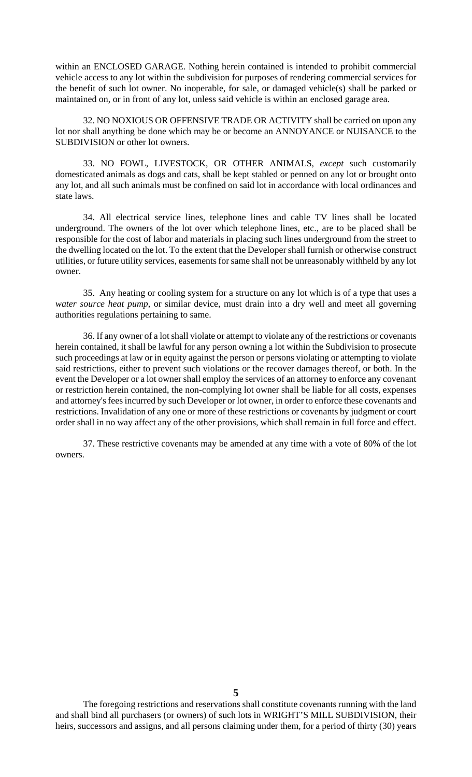within an ENCLOSED GARAGE. Nothing herein contained is intended to prohibit commercial vehicle access to any lot within the subdivision for purposes of rendering commercial services for the benefit of such lot owner. No inoperable, for sale, or damaged vehicle(s) shall be parked or maintained on, or in front of any lot, unless said vehicle is within an enclosed garage area.

32. NO NOXIOUS OR OFFENSIVE TRADE OR ACTIVITY shall be carried on upon any lot nor shall anything be done which may be or become an ANNOYANCE or NUISANCE to the SUBDIVISION or other lot owners.

33. NO FOWL, LIVESTOCK, OR OTHER ANIMALS, *except* such customarily domesticated animals as dogs and cats, shall be kept stabled or penned on any lot or brought onto any lot, and all such animals must be confined on said lot in accordance with local ordinances and state laws.

34. All electrical service lines, telephone lines and cable TV lines shall be located underground. The owners of the lot over which telephone lines, etc., are to be placed shall be responsible for the cost of labor and materials in placing such lines underground from the street to the dwelling located on the lot. To the extent that the Developer shall furnish or otherwise construct utilities, or future utility services, easements for same shall not be unreasonably withheld by any lot owner.

35. Any heating or cooling system for a structure on any lot which is of a type that uses a *water source heat pump*, or similar device, must drain into a dry well and meet all governing authorities regulations pertaining to same.

36. If any owner of a lot shall violate or attempt to violate any of the restrictions or covenants herein contained, it shall be lawful for any person owning a lot within the Subdivision to prosecute such proceedings at law or in equity against the person or persons violating or attempting to violate said restrictions, either to prevent such violations or the recover damages thereof, or both. In the event the Developer or a lot owner shall employ the services of an attorney to enforce any covenant or restriction herein contained, the non-complying lot owner shall be liable for all costs, expenses and attorney's fees incurred by such Developer or lot owner, in order to enforce these covenants and restrictions. Invalidation of any one or more of these restrictions or covenants by judgment or court order shall in no way affect any of the other provisions, which shall remain in full force and effect.

37. These restrictive covenants may be amended at any time with a vote of 80% of the lot owners.

The foregoing restrictions and reservations shall constitute covenants running with the land and shall bind all purchasers (or owners) of such lots in WRIGHT'S MILL SUBDIVISION, their heirs, successors and assigns, and all persons claiming under them, for a period of thirty (30) years